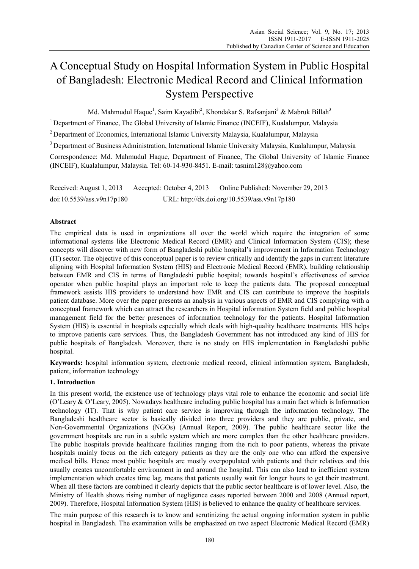# A Conceptual Study on Hospital Information System in Public Hospital of Bangladesh: Electronic Medical Record and Clinical Information System Perspective

Md. Mahmudul Haque<sup>1</sup>, Saim Kayadibi<sup>2</sup>, Khondakar S. Rafsanjani<sup>3</sup> & Mabruk Billah<sup>3</sup>

<sup>1</sup> Department of Finance, The Global University of Islamic Finance (INCEIF), Kualalumpur, Malaysia

2 Department of Economics, International Islamic University Malaysia, Kualalumpur, Malaysia

<sup>3</sup> Department of Business Administration, International Islamic University Malaysia, Kualalumpur, Malaysia

Correspondence: Md. Mahmudul Haque, Department of Finance, The Global University of Islamic Finance (INCEIF), Kualalumpur, Malaysia. Tel: 60-14-930-8451. E-mail: tasnim128@yahoo.com

Received: August 1, 2013 Accepted: October 4, 2013 Online Published: November 29, 2013 doi:10.5539/ass.v9n17p180 URL: http://dx.doi.org/10.5539/ass.v9n17p180

# **Abstract**

The empirical data is used in organizations all over the world which require the integration of some informational systems like Electronic Medical Record (EMR) and Clinical Information System (CIS); these concepts will discover with new form of Bangladeshi public hospital's improvement in Information Technology (IT) sector. The objective of this conceptual paper is to review critically and identify the gaps in current literature aligning with Hospital Information System (HIS) and Electronic Medical Record (EMR), building relationship between EMR and CIS in terms of Bangladeshi public hospital; towards hospital's effectiveness of service operator when public hospital plays an important role to keep the patients data. The proposed conceptual framework assists HIS providers to understand how EMR and CIS can contribute to improve the hospitals patient database. More over the paper presents an analysis in various aspects of EMR and CIS complying with a conceptual framework which can attract the researchers in Hospital information System field and public hospital management field for the better presences of information technology for the patients. Hospital Information System (HIS) is essential in hospitals especially which deals with high-quality healthcare treatments. HIS helps to improve patients care services. Thus, the Bangladesh Government has not introduced any kind of HIS for public hospitals of Bangladesh. Moreover, there is no study on HIS implementation in Bangladeshi public hospital.

**Keywords:** hospital information system, electronic medical record, clinical information system, Bangladesh, patient, information technology

# **1. Introduction**

In this present world, the existence use of technology plays vital role to enhance the economic and social life (O'Leary & O'Leary, 2005). Nowadays healthcare including public hospital has a main fact which is Information technology (IT). That is why patient care service is improving through the information technology. The Bangladeshi healthcare sector is basically divided into three providers and they are public, private, and Non-Governmental Organizations (NGOs) (Annual Report, 2009). The public healthcare sector like the government hospitals are run in a subtle system which are more complex than the other healthcare providers. The public hospitals provide healthcare facilities ranging from the rich to poor patients, whereas the private hospitals mainly focus on the rich category patients as they are the only one who can afford the expensive medical bills. Hence most public hospitals are mostly overpopulated with patients and their relatives and this usually creates uncomfortable environment in and around the hospital. This can also lead to inefficient system implementation which creates time lag, means that patients usually wait for longer hours to get their treatment. When all these factors are combined it clearly depicts that the public sector healthcare is of lower level. Also, the Ministry of Health shows rising number of negligence cases reported between 2000 and 2008 (Annual report, 2009). Therefore, Hospital Information System (HIS) is believed to enhance the quality of healthcare services.

The main purpose of this research is to know and scrutinizing the actual ongoing information system in public hospital in Bangladesh. The examination wills be emphasized on two aspect Electronic Medical Record (EMR)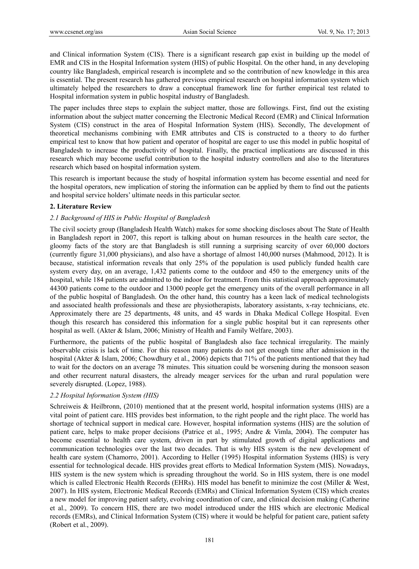and Clinical information System (CIS). There is a significant research gap exist in building up the model of EMR and CIS in the Hospital Information system (HIS) of public Hospital. On the other hand, in any developing country like Bangladesh, empirical research is incomplete and so the contribution of new knowledge in this area is essential. The present research has gathered previous empirical research on hospital information system which ultimately helped the researchers to draw a conceptual framework line for further empirical test related to Hospital information system in public hospital industry of Bangladesh.

The paper includes three steps to explain the subject matter, those are followings. First, find out the existing information about the subject matter concerning the Electronic Medical Record (EMR) and Clinical Information System (CIS) construct in the area of Hospital Information System (HIS). Secondly, The development of theoretical mechanisms combining with EMR attributes and CIS is constructed to a theory to do further empirical test to know that how patient and operator of hospital are eager to use this model in public hospital of Bangladesh to increase the productivity of hospital. Finally, the practical implications are discussed in this research which may become useful contribution to the hospital industry controllers and also to the literatures research which based on hospital information system.

This research is important because the study of hospital information system has become essential and need for the hospital operators, new implication of storing the information can be applied by them to find out the patients and hospital service holders' ultimate needs in this particular sector.

## **2. Literature Review**

## *2.1 Background of HIS in Public Hospital of Bangladesh*

The civil society group (Bangladesh Health Watch) makes for some shocking discloses about The State of Health in Bangladesh report in 2007, this report is talking about on human resources in the health care sector, the gloomy facts of the story are that Bangladesh is still running a surprising scarcity of over 60,000 doctors (currently figure 31,000 physicians), and also have a shortage of almost 140,000 nurses (Mahmood, 2012). It is because, statistical information reveals that only 25% of the population is used publicly funded health care system every day, on an average, 1,432 patients come to the outdoor and 450 to the emergency units of the hospital, while 184 patients are admitted to the indoor for treatment. From this statistical approach approximately 44300 patients come to the outdoor and 13000 people get the emergency units of the overall performance in all of the public hospital of Bangladesh. On the other hand, this country has a keen lack of medical technologists and associated health professionals and these are physiotherapists, laboratory assistants, x-ray technicians, etc. Approximately there are 25 departments, 48 units, and 45 wards in Dhaka Medical College Hospital. Even though this research has considered this information for a single public hospital but it can represents other hospital as well. (Akter & Islam, 2006; Ministry of Health and Family Welfare, 2003).

Furthermore, the patients of the public hospital of Bangladesh also face technical irregularity. The mainly observable crisis is lack of time. For this reason many patients do not get enough time after admission in the hospital (Akter & Islam, 2006; Chowdhury et al., 2006) depicts that 71% of the patients mentioned that they had to wait for the doctors on an average 78 minutes. This situation could be worsening during the monsoon season and other recurrent natural disasters, the already meager services for the urban and rural population were severely disrupted. (Lopez, 1988).

#### *2.2 Hospital Information System (HIS)*

Schreiweis & Heilbronn, (2010) mentioned that at the present world, hospital information systems (HIS) are a vital point of patient care. HIS provides best information, to the right people and the right place. The world has shortage of technical support in medical care. However, hospital information systems (HIS) are the solution of patient care, helps to make proper decisions (Patrice et al., 1995; Andre & Vimla, 2004). The computer has become essential to health care system, driven in part by stimulated growth of digital applications and communication technologies over the last two decades. That is why HIS system is the new development of health care system (Chamorro, 2001). According to Heller (1995) Hospital information Systems (HIS) is very essential for technological decade. HIS provides great efforts to Medical Information System (MIS). Nowadays, HIS system is the new system which is spreading throughout the world. So in HIS system, there is one model which is called Electronic Health Records (EHRs). HIS model has benefit to minimize the cost (Miller & West, 2007). In HIS system, Electronic Medical Records (EMRs) and Clinical Information System (CIS) which creates a new model for improving patient safety, evolving coordination of care, and clinical decision making (Catherine et al., 2009). To concern HIS, there are two model introduced under the HIS which are electronic Medical records (EMRs), and Clinical Information System (CIS) where it would be helpful for patient care, patient safety (Robert et al., 2009).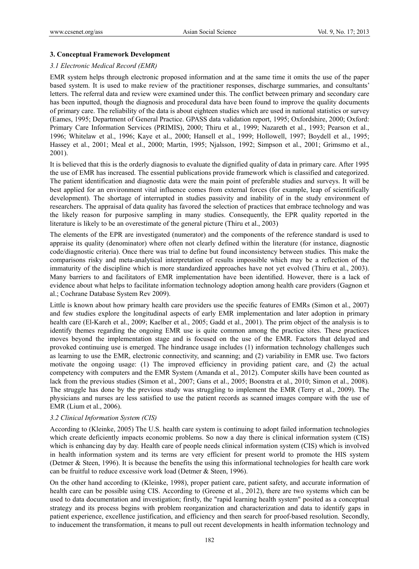## **3. Conceptual Framework Development**

#### *3.1 Electronic Medical Record (EMR)*

EMR system helps through electronic proposed information and at the same time it omits the use of the paper based system. It is used to make review of the practitioner responses, discharge summaries, and consultants' letters. The referral data and review were examined under this. The conflict between primary and secondary care has been inputted, though the diagnosis and procedural data have been found to improve the quality documents of primary care. The reliability of the data is about eighteen studies which are used in national statistics or survey (Eames, 1995; Department of General Practice. GPASS data validation report, 1995; Oxfordshire, 2000; Oxford: Primary Care Information Services (PRIMIS), 2000; Thiru et al., 1999; Nazareth et al., 1993; Pearson et al., 1996; Whitelaw et al., 1996; Kaye et al., 2000; Hansell et al., 1999; Hollowell, 1997; Boydell et al., 1995; Hassey et al., 2001; Meal et al., 2000; Martin, 1995; Njalsson, 1992; Simpson et al., 2001; Grimsmo et al., 2001).

It is believed that this is the orderly diagnosis to evaluate the dignified quality of data in primary care. After 1995 the use of EMR has increased. The essential publications provide framework which is classified and categorized. The patient identification and diagnostic data were the main point of preferable studies and surveys. It will be best applied for an environment vital influence comes from external forces (for example, leap of scientifically development). The shortage of interrupted in studies passivity and inability of in the study environment of researchers. The appraisal of data quality has favored the selection of practices that embrace technology and was the likely reason for purposive sampling in many studies. Consequently, the EPR quality reported in the literature is likely to be an overestimate of the general picture (Thiru et al., 2003)

The elements of the EPR are investigated (numerator) and the components of the reference standard is used to appraise its quality (denominator) where often not clearly defined within the literature (for instance, diagnostic code/diagnostic criteria). Once there was trial to define but found inconsistency between studies. This make the comparisons risky and meta-analytical interpretation of results impossible which may be a reflection of the immaturity of the discipline which is more standardized approaches have not yet evolved (Thiru et al., 2003). Many barriers to and facilitators of EMR implementation have been identified. However, there is a lack of evidence about what helps to facilitate information technology adoption among health care providers (Gagnon et al.; Cochrane Database System Rev 2009).

Little is known about how primary health care providers use the specific features of EMRs (Simon et al., 2007) and few studies explore the longitudinal aspects of early EMR implementation and later adoption in primary health care (El-Kareh et al., 2009; Kaelber et al., 2005; Gadd et al., 2001). The prim object of the analysis is to identify themes regarding the ongoing EMR use is quite common among the practice sites. These practices moves beyond the implementation stage and is focused on the use of the EMR. Factors that delayed and provoked continuing use is emerged. The hindrance usage includes (1) information technology challenges such as learning to use the EMR, electronic connectivity, and scanning; and (2) variability in EMR use. Two factors motivate the ongoing usage: (1) The improved efficiency in providing patient care, and (2) the actual competency with computers and the EMR System (Amanda et al., 2012). Computer skills have been counted as lack from the previous studies (Simon et al., 2007; Gans et al., 2005; Boonstra et al., 2010; Simon et al., 2008). The struggle has done by the previous study was struggling to implement the EMR (Terry et al., 2009). The physicians and nurses are less satisfied to use the patient records as scanned images compare with the use of EMR (Lium et al., 2006).

#### *3.2 Clinical Information System (CIS)*

According to (Kleinke, 2005) The U.S. health care system is continuing to adopt failed information technologies which create deficiently impacts economic problems. So now a day there is clinical information system (CIS) which is enhancing day by day. Health care of people needs clinical information system (CIS) which is involved in health information system and its terms are very efficient for present world to promote the HIS system (Detmer & Steen, 1996). It is because the benefits the using this informational technologies for health care work can be fruitful to reduce excessive work load (Detmer & Steen, 1996).

On the other hand according to (Kleinke, 1998), proper patient care, patient safety, and accurate information of health care can be possible using CIS. According to (Greene et al., 2012), there are two systems which can be used to data documentation and investigation; firstly, the "rapid learning health system" posited as a conceptual strategy and its process begins with problem reorganization and characterization and data to identify gaps in patient experience, excellence justification, and efficiency and then search for proof-based resolution. Secondly, to inducement the transformation, it means to pull out recent developments in health information technology and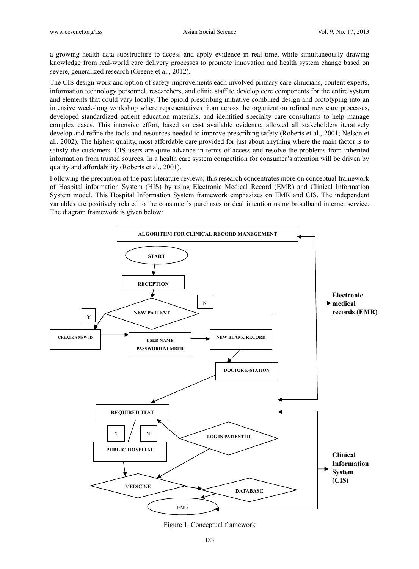a growing health data substructure to access and apply evidence in real time, while simultaneously drawing knowledge from real-world care delivery processes to promote innovation and health system change based on severe, generalized research (Greene et al., 2012).

The CIS design work and option of safety improvements each involved primary care clinicians, content experts, information technology personnel, researchers, and clinic staff to develop core components for the entire system and elements that could vary locally. The opioid prescribing initiative combined design and prototyping into an intensive week-long workshop where representatives from across the organization refined new care processes, developed standardized patient education materials, and identified specialty care consultants to help manage complex cases. This intensive effort, based on east available evidence, allowed all stakeholders iteratively develop and refine the tools and resources needed to improve prescribing safety (Roberts et al., 2001; Nelson et al., 2002). The highest quality, most affordable care provided for just about anything where the main factor is to satisfy the customers. CIS users are quite advance in terms of access and resolve the problems from inherited information from trusted sources. In a health care system competition for consumer's attention will be driven by quality and affordability (Roberts et al., 2001).

Following the precaution of the past literature reviews; this research concentrates more on conceptual framework of Hospital information System (HIS) by using Electronic Medical Record (EMR) and Clinical Information System model. This Hospital Information System framework emphasizes on EMR and CIS. The independent variables are positively related to the consumer's purchases or deal intention using broadband internet service. The diagram framework is given below:



Figure 1. Conceptual framework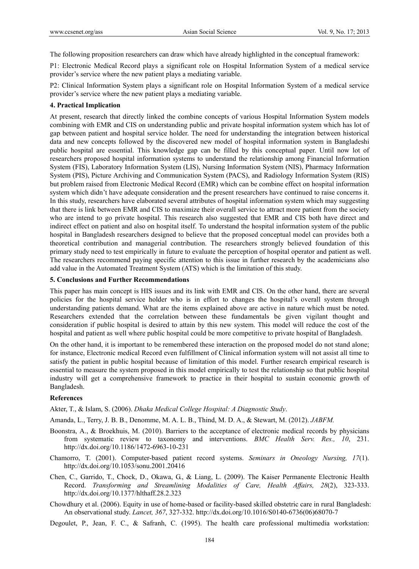The following proposition researchers can draw which have already highlighted in the conceptual framework:

P1: Electronic Medical Record plays a significant role on Hospital Information System of a medical service provider's service where the new patient plays a mediating variable.

P2: Clinical Information System plays a significant role on Hospital Information System of a medical service provider's service where the new patient plays a mediating variable.

#### **4. Practical Implication**

At present, research that directly linked the combine concepts of various Hospital Information System models combining with EMR and CIS on understanding public and private hospital information system which has lot of gap between patient and hospital service holder. The need for understanding the integration between historical data and new concepts followed by the discovered new model of hospital information system in Bangladeshi public hospital are essential. This knowledge gap can be filled by this conceptual paper. Until now lot of researchers proposed hospital information systems to understand the relationship among Financial Information System (FIS), Laboratory Information System (LIS), Nursing Information System (NIS), Pharmacy Information System (PIS), Picture Archiving and Communication System (PACS), and Radiology Information System (RIS) but problem raised from Electronic Medical Record (EMR) which can be combine effect on hospital information system which didn't have adequate consideration and the present researchers have continued to raise concerns it. In this study, researchers have elaborated several attributes of hospital information system which may suggesting that there is link between EMR and CIS to maximize their overall service to attract more patient from the society who are intend to go private hospital. This research also suggested that EMR and CIS both have direct and indirect effect on patient and also on hospital itself. To understand the hospital information system of the public hospital in Bangladesh researchers designed to believe that the proposed conceptual model can provides both a theoretical contribution and managerial contribution. The researchers strongly believed foundation of this primary study need to test empirically in future to evaluate the perception of hospital operator and patient as well. The researchers recommend paying specific attention to this issue in further research by the academicians also add value in the Automated Treatment System (ATS) which is the limitation of this study.

#### **5. Conclusions and Further Recommendations**

This paper has main concept is HIS issues and its link with EMR and CIS. On the other hand, there are several policies for the hospital service holder who is in effort to changes the hospital's overall system through understanding patients demand. What are the items explained above are active in nature which must be noted. Researchers extended that the correlation between these fundamentals be given vigilant thought and consideration if public hospital is desired to attain by this new system. This model will reduce the cost of the hospital and patient as well where public hospital could be more competitive to private hospital of Bangladesh.

On the other hand, it is important to be remembered these interaction on the proposed model do not stand alone; for instance, Electronic medical Record even fulfillment of Clinical information system will not assist all time to satisfy the patient in public hospital because of limitation of this model. Further research empirical research is essential to measure the system proposed in this model empirically to test the relationship so that public hospital industry will get a comprehensive framework to practice in their hospital to sustain economic growth of Bangladesh.

#### **References**

Akter, T., & Islam, S. (2006). *Dhaka Medical College Hospital: A Diagnostic Study*.

Amanda, L., Terry, J. B. B., Denomme, M. A. L. B., Thind, M. D. A., & Stewart, M. (2012). *JABFM.* 

- Boonstra, A., & Broekhuis, M. (2010). Barriers to the acceptance of electronic medical records by physicians from systematic review to taxonomy and interventions. *BMC Health Serv. Res., 10*, 231. http://dx.doi.org/10.1186/1472-6963-10-231
- Chamorro, T. (2001). Computer-based patient record systems. *Seminars in Oneology Nursing, 17*(1). http://dx.doi.org/10.1053/sonu.2001.20416
- Chen, C., Garrido, T., Chock, D., Okawa, G., & Liang, L. (2009). The Kaiser Permanente Electronic Health Record. *Transforming and Streamlining Modalities of Care, Health Affairs, 28*(2), 323-333. http://dx.doi.org/10.1377/hlthaff.28.2.323
- Chowdhury et al. (2006). Equity in use of home-based or facility-based skilled obstetric care in rural Bangladesh: An observational study. *Lancet, 367*, 327-332. http://dx.doi.org/10.1016/S0140-6736(06)68070-7

Degoulet, P., Jean, F. C., & Safranh, C. (1995). The health care professional multimedia workstation: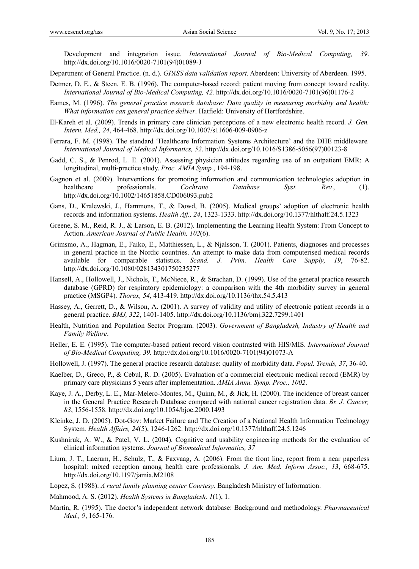Development and integration issue*. International Journal of Bio-Medical Computing, 39*. http://dx.doi.org/10.1016/0020-7101(94)01089-J

Department of General Practice. (n. d.). *GPASS data validation report*. Aberdeen: University of Aberdeen. 1995.

- Detmer, D. E., & Steen, E. B. (1996). The computer-based record: patient moving from concept toward reality. *International Journal of Bio-Medical Computing, 42.* http://dx.doi.org/10.1016/0020-7101(96)01176-2
- Eames, M. (1996). *The general practice research database: Data quality in measuring morbidity and health: What information can general practice deliver*. Hatfield: University of Hertfordshire.
- El-Kareh et al. (2009). Trends in primary care clinician perceptions of a new electronic health record. *J. Gen. Intern. Med., 24*, 464-468. http://dx.doi.org/10.1007/s11606-009-0906-z
- Ferrara, F. M. (1998). The standard 'Healthcare Information Systems Architecture' and the DHE middleware*. International Journal of Medical Informatics, 52*. http://dx.doi.org/10.1016/S1386-5056(97)00123-8
- Gadd, C. S., & Penrod, L. E. (2001). Assessing physician attitudes regarding use of an outpatient EMR: A longitudinal, multi-practice study. *Proc. AMIA Symp.*, 194-198.
- Gagnon et al. (2009). Interventions for promoting information and communication technologies adoption in healthcare professionals. *Cochrane Database Syst. Rev.*, (1). http://dx.doi.org/10.1002/14651858.CD006093.pub2
- Gans, D., Kralewski, J., Hammons, T., & Dowd, B. (2005). Medical groups' adoption of electronic health records and information systems. *Health Aff., 24*, 1323-1333. http://dx.doi.org/10.1377/hlthaff.24.5.1323
- Greene, S. M., Reid, R. J., & Larson, E. B. (2012). Implementing the Learning Health System: From Concept to Action. *American Journal of Public Health, 102*(6).
- Grimsmo, A., Hagman, E., Faiko, E., Matthiessen, L., & Njalsson, T. (2001). Patients, diagnoses and processes in general practice in the Nordic countries. An attempt to make data from computerised medical records available for comparable statistics. *Scand. J. Prim. Health Care Supply, 19*, 76-82. http://dx.doi.org/10.1080/028134301750235277
- Hansell, A., Hollowell, J., Nichols, T., McNiece, R., & Strachan, D. (1999). Use of the general practice research database (GPRD) for respiratory epidemiology: a comparison with the 4th morbidity survey in general practice (MSGP4). *Thorax, 54*, 413-419. http://dx.doi.org/10.1136/thx.54.5.413
- Hassey, A., Gerrett, D., & Wilson, A. (2001). A survey of validity and utility of electronic patient records in a general practice. *BMJ, 322*, 1401-1405. http://dx.doi.org/10.1136/bmj.322.7299.1401
- Health, Nutrition and Population Sector Program. (2003). *Government of Bangladesh, Industry of Health and Family Welfare*.
- Heller, E. E. (1995). The computer-based patient record vision contrasted with HIS/MIS. *International Journal of Bio-Medical Computing, 39.* http://dx.doi.org/10.1016/0020-7101(94)01073-A
- Hollowell, J. (1997). The general practice research database: quality of morbidity data. *Popul. Trends, 37*, 36-40.
- Kaelber, D., Greco, P., & Cebul, R. D. (2005). Evaluation of a commercial electronic medical record (EMR) by primary care physicians 5 years after implementation. *AMIA Annu. Symp. Proc., 1002*.
- Kaye, J. A., Derby, L. E., Mar-Melero-Montes, M., Quinn, M., & Jick, H. (2000). The incidence of breast cancer in the General Practice Research Database compared with national cancer registration data. *Br. J. Cancer, 83*, 1556-1558. http://dx.doi.org/10.1054/bjoc.2000.1493
- Kleinke, J. D. (2005). Dot-Gov: Market Failure and The Creation of a National Health Information Technology System*. Health Affairs, 24*(5), 1246-1262. http://dx.doi.org/10.1377/hlthaff.24.5.1246
- Kushniruk, A. W., & Patel, V. L. (2004). Cognitive and usability engineering methods for the evaluation of clinical information systems*. Journal of Biomedical Informatics, 37*
- Lium, J. T., Laerum, H., Schulz, T., & Faxvaag, A. (2006). From the front line, report from a near paperless hospital: mixed reception among health care professionals. *J. Am. Med. Inform Assoc., 13*, 668-675. http://dx.doi.org/10.1197/jamia.M2108
- Lopez, S. (1988). *A rural family planning center Courtesy*. Bangladesh Ministry of Information.
- Mahmood, A. S. (2012). *Health Systems in Bangladesh, 1*(1), 1.
- Martin, R. (1995). The doctor's independent network database: Background and methodology. *Pharmaceutical Med., 9*, 165-176.